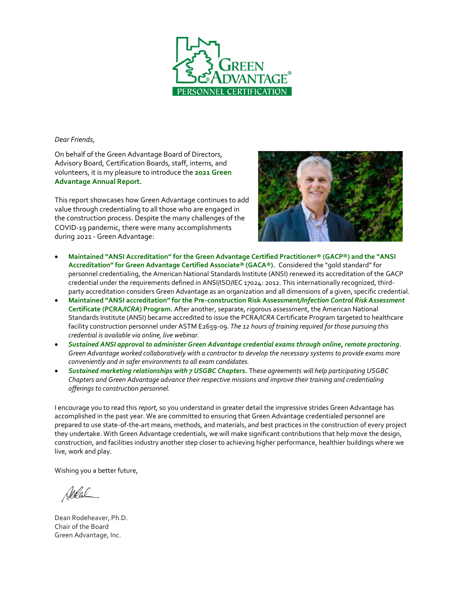

#### *Dear Friends,*

On behalf of the Green Advantage Board of Directors, Advisory Board, Certification Boards, staff, interns, and volunteers, it is my pleasure to introduce the **2021 Green Advantage Annual Report.**

This report showcases how Green Advantage continues to add value through credentialing to all those who are engaged in the construction process. Despite the many challenges of the COVID-19 pandemic, there were many accomplishments during 2021 - Green Advantage:



- **Maintained "ANSI Accreditation" for the Green Advantage Certified Practitioner® (GACP®) and the "ANSI Accreditation" for Green Advantage Certified Associate® (GACA®).** Considered the "gold standard" for personnel credentialing, the American National Standards Institute (ANSI) renewed its accreditation of the GACP credential under the requirements defined in ANSI/ISO/IEC 17024: 2012. This internationally recognized, thirdparty accreditation considers Green Advantage as an organization and all dimensions of a given, specific credential.
- **Maintained "ANSI accreditation" for the Pre-construction Risk Assessment***/Infection Control Risk Assessment* **Certificate (PCRA***/ICRA***) Program.** After another, separate, rigorous assessment, the American National Standards Institute (ANSI) became accredited to issue the PCRA*/ICRA* Certificate Program targeted to healthcare facility construction personnel under ASTM E2659-09. *The 12 hours of training required for those pursuing this credential is available via online, live webinar.*
- *Sustained ANSI approval to administer Green Advantage credential exams through online, remote proctoring. Green Advantage worked collaboratively with a contractor to develop the necessary systems to provide exams more conveniently and in safer environments to all exam candidates.*
- *Sustained marketing relationships with 7 USGBC Chapters.* The*se agreements will help participating USGBC Chapters and Green Advantage advance their respective missions and improve their training and credentialing offerings to construction personnel.*

I encourage you to read this *report,* so you understand in greater detail the impressive strides Green Advantage has accomplished in the past year. We are committed to ensuring that Green Advantage credentialed personnel are prepared to use state-of-the-art means, methods, and materials, an*d* best practices in the construction of every project they undertake. With Green Advantage credentials, we will make significant contributions that help move the design, construction, and facilities industry another step closer to achieving higher performance, healthier buildings where we live, work and play.

Wishing you a better future,

Sedal

Dean Rodeheaver, Ph.D. Chair of the Board Green Advantage, Inc.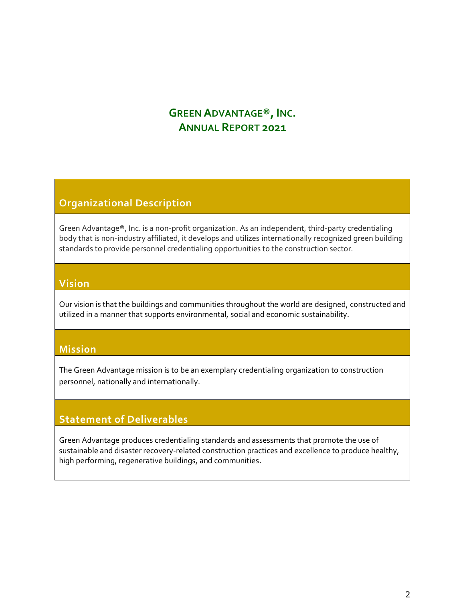# **GREEN ADVANTAGE®, INC. ANNUAL REPORT 2021**

## **Organizational Description**

Green Advantage®, Inc. is a non-profit organization. As an independent, third-party credentialing body that is non-industry affiliated, it develops and utilizes internationally recognized green building standards to provide personnel credentialing opportunities to the construction sector.

### **Vision**

Our vision is that the buildings and communities throughout the world are designed, constructed and utilized in a manner that supports environmental, social and economic sustainability.

### **Mission**

The Green Advantage mission is to be an exemplary credentialing organization to construction personnel, nationally and internationally.

### **Statement of Deliverables**

Green Advantage produces credentialing standards and assessments that promote the use of sustainable and disaster recovery-related construction practices and excellence to produce healthy, high performing, regenerative buildings, and communities.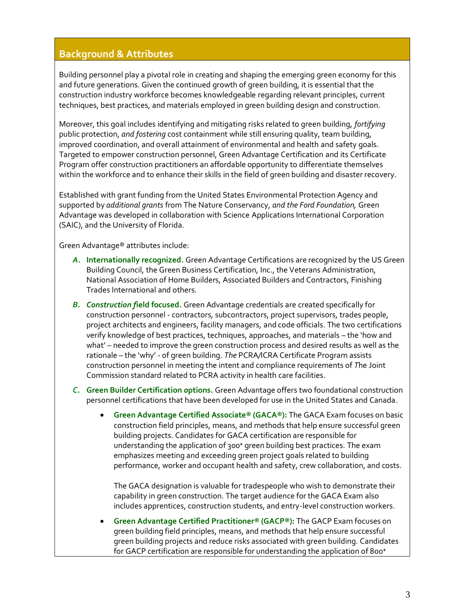### **Background & Attributes**

Building personnel play a pivotal role in creating and shaping the emerging green economy for this and future generations. Given the continued growth of green building, it is essential that the construction industry workforce becomes knowledgeable regarding relevant principles, current techniques, best practices, and materials employed in green building design and construction.

Moreover, this goal includes identifying and mitigating risks related to green building, *fortifying*  public protection, *and fostering* cost containment while still ensuring quality, team building, improved coordination, and overall attainment of environmental and health and safety goals. Targeted to empower construction personnel, Green Advantage Certification and its Certificate Program offer construction practitioners an affordable opportunity to differentiate themselves within the workforce and to enhance their skills in the field of green building and disaster recovery.

Established with grant funding from the United States Environmental Protection Agency and supported by *additional grants* from The Nature Conservancy, *and the Ford Foundation,* Green Advantage was developed in collaboration with Science Applications International Corporation (SAIC), and the University of Florida.

Green Advantage® attributes include:

- *A.* **Internationally recognized.** Green Advantage Certifications are recognized by the US Green Building Council, the Green Business Certification, Inc., the Veterans Administration, National Association of Home Builders, Associated Builders and Contractors, Finishing Trades International and others.
- *B. Construction f***ield focused.** Green Advantage credentials are created specifically for construction personnel - contractors, subcontractors, project supervisors, trades people, project architects and engineers, facility managers, and code officials. The two certifications verify knowledge of best practices, techniques, approaches, and materials – the 'how and what' – needed to improve the green construction process and desired results as well as the rationale – the 'why' - of green building. *The* PCRA*/*ICRA Certificate Program assists construction personnel in meeting the intent and compliance requirements of *T*he Joint Commission standard related to PCRA activity in health care facilities.
- *C.* **Green Builder Certification** *o***ptions.** Green Advantage offers two foundational construction personnel certifications that have been developed for use in the United States and Canada.
	- **Green Advantage Certified Associate® (GACA®):** The GACA Exam focuses on basic construction field principles, means, and methods that help ensure successful green building projects. Candidates for GACA certification are responsible for understanding the application of 300<sup>+</sup> green building best practices. The exam emphasizes meeting and exceeding green project goals related to building performance, worker and occupant health and safety, crew collaboration, and costs.

The GACA designation is valuable for tradespeople who wish to demonstrate their capability in green construction. The target audience for the GACA Exam also includes apprentices, construction students, and entry-level construction workers.

• **Green Advantage Certified Practitioner® (GACP®):** The GACP Exam focuses on green building field principles, means, and methods that help ensure successful green building projects and reduce risks associated with green building. Candidates for GACP certification are responsible for understanding the application of 800<sup>+</sup>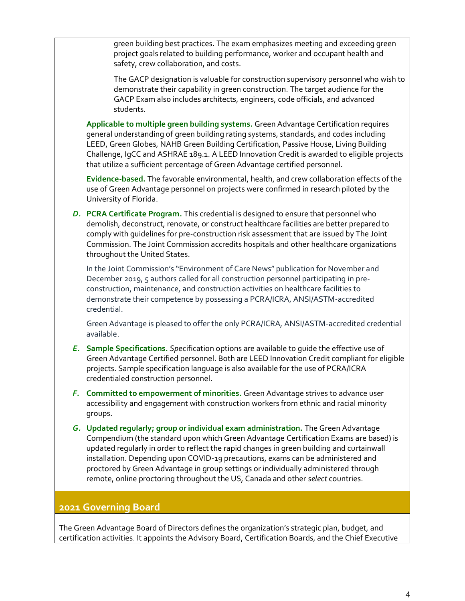green building best practices. The exam emphasizes meeting and exceeding green project goals related to building performance, worker and occupant health and safety, crew collaboration, and costs.

The GACP designation is valuable for construction supervisory personnel who wish to demonstrate their capability in green construction. The target audience for the GACP Exam also includes architects, engineers, code officials, and advanced students.

**Applicable to multiple green building systems.** Green Advantage Certification requires general understanding of green building rating systems, standards, and codes including LEED, Green Globes, NAHB Green Building Certification, Passive House, Living Building Challenge, IgCC and ASHRAE 189.1. A LEED Innovation Credit is awarded to eligible projects that utilize a sufficient percentage of Green Advantage certified personnel.

**Evidence-based.** The favorable environmental, health, and crew collaboration effects of the use of Green Advantage personnel on projects were confirmed in [research piloted by the](about:blank)  [University of Florida.](about:blank)

*D.* **PCRA Certificate Program.** This credential is designed to ensure that personnel who demolish, deconstruct, renovate, or construct healthcare facilities are better prepared to comply with guidelines for pre-construction risk assessment that are issued by The Joint Commission. The Joint Commission accredits hospitals and other healthcare organizations throughout the United States.

In the Joint Commission's "Environment of Care News" publication for November and December 2019, 5 authors called for all construction personnel participating in preconstruction, maintenance, and construction activities on healthcare facilities to demonstrate their competence by possessing a PCRA/ICRA, ANSI/ASTM-accredited credential.

Green Advantage is pleased to offer the only PCRA/ICRA, ANSI/ASTM-accredited credential available.

- *E.* **Sample Specifications.** *Sp*ecification options are available to guide the effective use of Green Advantage Certified personnel. Both are LEED Innovation Credit compliant for eligible projects. Sample specification language is also available for the use of PCRA/ICRA credentialed construction personnel.
- *F.* **Committed to empowerment of minorities.** Green Advantage strives to advance user accessibility and engagement with construction workers from ethnic and racial minority groups.
- *G.* **Updated regularly; group or individual exam administration.** The Green Advantage Compendium (the standard upon which Green Advantage Certification Exams are based) is updated regularly in order to reflect the rapid changes in green building and curtainwall installation. Depending upon COVID-19 precautions*, e*xams can be administered and proctored by Green Advantage in group settings or individually administered through remote, online proctoring throughout the US, Canada and other *select* countries.

### **2021 Governing Board**

The Green Advantage Board of Directors defines the organization's strategic plan, budget, and certification activities. It appoints the Advisory Board, Certification Boards, and the Chief Executive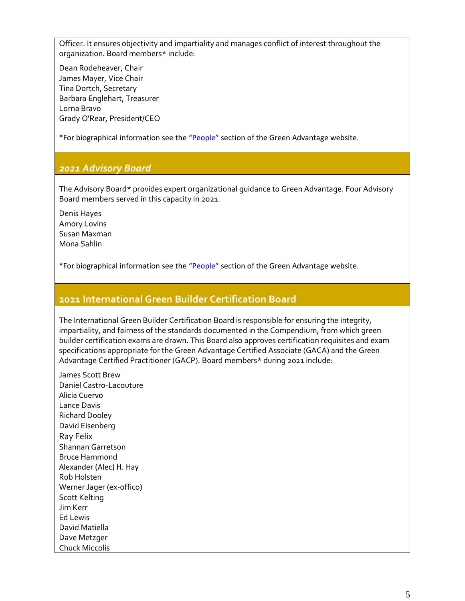Officer. It ensures objectivity and impartiality and manages conflict of interest throughout the organization. Board members\* include:

[Dean Rodeheaver,](about:blank) Chair [James Mayer, Vice Chair](about:blank) Tina Dortch, Secretary [Barbara Englehart,](about:blank) Treasurer [Lorna Bravo](about:blank) [Grady O'Rear, President/CEO](about:blank)

\*For biographical information see the ["People"](https://greenadvantage.org/people) section of the Green Advantage website.

### *2021 Advisory Board*

The Advisory Board\* provides expert organizational guidance to Green Advantage. Four Advisory Board members served in this capacity in 2021.

[Denis Hayes](about:blank) [Amory Lovins](about:blank) [Susan Maxman](about:blank) [Mona Sahlin](about:blank)

\*For biographical information see the ["People"](https://greenadvantage.org/people) section of the Green Advantage website.

#### **2021 International Green Builder Certification Board**

The International Green Builder Certification Board is responsible for ensuring the integrity, impartiality, and fairness of the standards documented in the Compendium, from which green builder certification exams are drawn. This Board also approves certification requisites and exam specifications appropriate for the Green Advantage Certified Associate (GACA) and the Green Advantage Certified Practitioner (GACP). Board members\* during 2021 include:

[James Scott Brew](about:blank) [Daniel Castro-Lacouture](about:blank) Alicia Cuervo [Lance Davis](about:blank) [Richard Dooley](about:blank) [David Eisenberg](about:blank) Ray Felix Shannan Garretson [Bruce Hammond](about:blank) Alexander (Alec) H. Hay [Rob Holsten](about:blank) Werner Jager (ex-offico) [Scott Kelting](about:blank) [Jim Kerr](about:blank) Ed Lewis David Matiella [Dave Metzger](about:blank) [Chuck Miccolis](about:blank)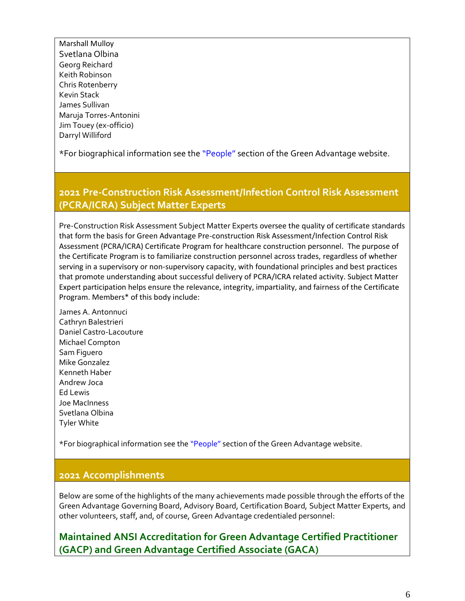Marshall Mulloy Svetlana Olbina [Georg Reichard](about:blank) [Keith Robinson](about:blank) [Chris Rotenberry](about:blank) [Kevin Stack](about:blank) [James Sullivan](about:blank) [Maruja Torres-Antonini](about:blank) Jim Touey (ex-officio) [Darryl Williford](about:blank)

\*For biographical information see the ["People"](https://greenadvantage.org/people) section of the Green Advantage website.

## **2021 Pre-Construction Risk Assessment/Infection Control Risk Assessment (PCRA/ICRA) Subject Matter Experts**

Pre-Construction Risk Assessment Subject Matter Experts oversee the quality of certificate standards that form the basis for Green Advantage Pre-construction Risk Assessment/Infection Control Risk Assessment (PCRA/ICRA) Certificate Program for healthcare construction personnel. The purpose of the Certificate Program is to familiarize construction personnel across trades, regardless of whether serving in a supervisory or non-supervisory capacity, with foundational principles and best practices that promote understanding about successful delivery of PCRA/ICRA related activity. Subject Matter Expert participation helps ensure the relevance, integrity, impartiality, and fairness of the Certificate Program. Members\* of this body include:

James A. Antonnuci [Cathryn Balestrieri](about:blank) [Daniel Castro-Lacouture](about:blank) [Michael Compton](about:blank) Sam Figuero [Mike Gonzalez](about:blank) [Kenneth Haber](about:blank) Andrew Joca Ed Lewis [Joe MacInness](about:blank) Svetlana Olbina [Tyler White](about:blank)

\*For biographical information see the ["People"](https://greenadvantage.org/people) section of the Green Advantage website.

### **2021 Accomplishments**

Below are some of the highlights of the many achievements made possible through the efforts of the Green Advantage Governing Board, Advisory Board, Certification Board, Subject Matter Experts, and [other volunteers,](about:blank#Volunteers) [staff,](about:blank#Personnel) and, of course, Green Advantage credentialed personnel:

**Maintained ANSI Accreditation for Green Advantage Certified Practitioner (GACP) and Green Advantage Certified Associate (GACA)**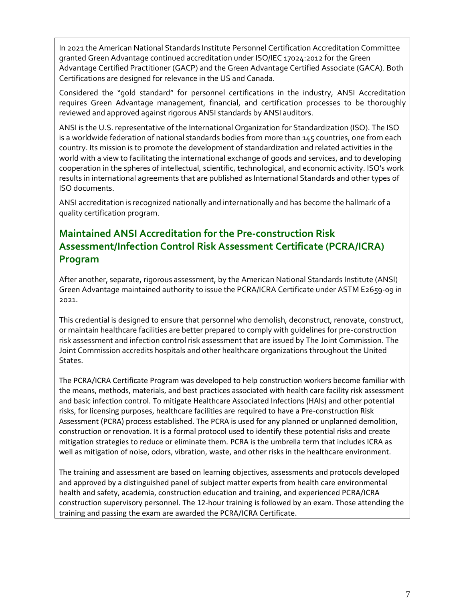In 2021 the American National Standards Institute Personnel Certification Accreditation Committee granted Green Advantage continued accreditation under ISO/IEC 17024:2012 for the Green Advantage Certified Practitioner (GACP) and the Green Advantage Certified Associate (GACA). Both Certifications are designed for relevance in the US and Canada.

Considered the "gold standard" for personnel certifications in the industry, ANSI Accreditation requires Green Advantage management, financial, and certification processes to be thoroughly reviewed and approved against rigorous ANSI standards by ANSI auditors.

ANSI is the U.S. representative of the International Organization for Standardization (ISO). The ISO is a worldwide federation of national standards bodies from more than 145 countries, one from each country. Its mission is to promote the development of standardization and related activities in the world with a view to facilitating the international exchange of goods and services, and to developing cooperation in the spheres of intellectual, scientific, technological, and economic activity. ISO's work results in international agreements that are published as International Standards and other types of ISO documents.

ANSI accreditation is recognized nationally and internationally and has become the hallmark of a quality certification program.

## **Maintained ANSI Accreditation for the Pre-construction Risk Assessment/Infection Control Risk Assessment Certificate (PCRA/ICRA) Program**

After another, separate, rigorous assessment, by the American National Standards Institute (ANSI) Green Advantage maintained authority to issue the PCRA/ICRA Certificate under ASTM E2659-09 in 2021.

This credential is designed to ensure that personnel who demolish, deconstruct, renovate, construct, or maintain healthcare facilities are better prepared to comply with guidelines for pre-construction risk assessment and infection control risk assessment that are issued by The Joint Commission. The Joint Commission accredits hospitals and other healthcare organizations throughout the United States.

The PCRA/ICRA Certificate Program was developed to help construction workers become familiar with the means, methods, materials, and best practices associated with health care facility risk assessment and basic infection control. To mitigate Healthcare Associated Infections (HAIs) and other potential risks, for licensing purposes, healthcare facilities are required to have a Pre-construction Risk Assessment (PCRA) process established. The PCRA is used for any planned or unplanned demolition, construction or renovation. It is a formal protocol used to identify these potential risks and create mitigation strategies to reduce or eliminate them. PCRA is the umbrella term that includes ICRA as well as mitigation of noise, odors, vibration, waste, and other risks in the healthcare environment.

The training and assessment are based on learning objectives, assessments and protocols developed and approved by a distinguished panel of subject matter experts from health care environmental health and safety, academia, construction education and training, and experienced PCRA/ICRA construction supervisory personnel. The 12-hour training is followed by an exam. Those attending the training and passing the exam are awarded the PCRA/ICRA Certificate.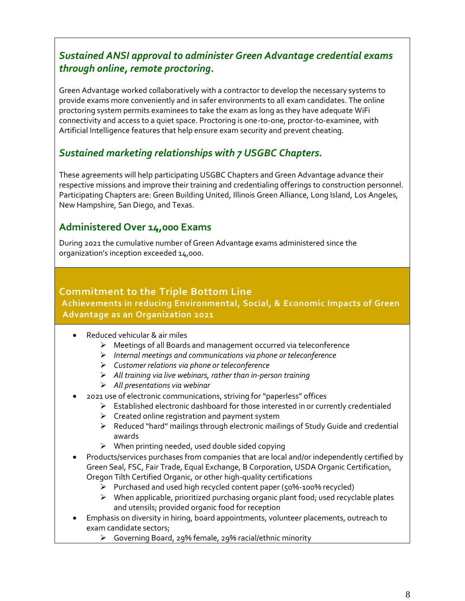## *Sustained ANSI approval to administer Green Advantage credential exams through online, remote proctoring.*

Green Advantage worked collaboratively with a contractor to develop the necessary systems to provide exams more conveniently and in safer environments to all exam candidates. The online proctoring system permits examinees to take the exam as long as they have adequate WiFi connectivity and access to a quiet space. Proctoring is one-to-one, proctor-to-examinee, with Artificial Intelligence features that help ensure exam security and prevent cheating.

## *Sustained marketing relationships with 7 USGBC Chapters.*

These agreements will help participating USGBC Chapters and Green Advantage advance their respective missions and improve their training and credentialing offerings to construction personnel. Participating Chapters are: Green Building United, Illinois Green Alliance, Long Island, Los Angeles, New Hampshire, San Diego, and Texas.

## **Administered Over 14,000 Exams**

During 2021 the cumulative number of Green Advantage exams administered since the organization's inception exceeded 14,000.

### **Commitment to the Triple Bottom Line**

### **Achievements in reducing Environmental, Social, & Economic Impacts of Green Advantage as an Organization 2021**

- Reduced vehicular & air miles
	- ➢ Meetings of all Boards and management occurred via teleconference
	- ➢ *Internal meetings and communications via phone or teleconference*
	- ➢ *Customer relations via phone or teleconference*
	- ➢ *All training via live webinars, rather than in-person training*
	- ➢ *All presentations via webinar*
- 2021 use of electronic communications, striving for "paperless" offices
	- $\triangleright$  Established electronic dashboard for those interested in or currently credentialed
	- $\triangleright$  Created online registration and payment system
	- ➢ Reduced "hard" mailings through electronic mailings of Study Guide and credential awards
	- $\triangleright$  When printing needed, used double sided copying
- Products/services purchases from companies that are local and/or independently certified by Green Seal, FSC, Fair Trade, Equal Exchange, B Corporation, USDA Organic Certification, Oregon Tilth Certified Organic, or other high-quality certifications
	- ➢ Purchased and used high recycled content paper (50%-100% recycled)
	- ➢ When applicable, prioritized purchasing organic plant food; used recyclable plates and utensils; provided organic food for reception
- Emphasis on diversity in hiring, board appointments, volunteer placements, outreach to exam candidate sectors;
	- ➢ Governing Board, 29% female, 29% racial/ethnic minority